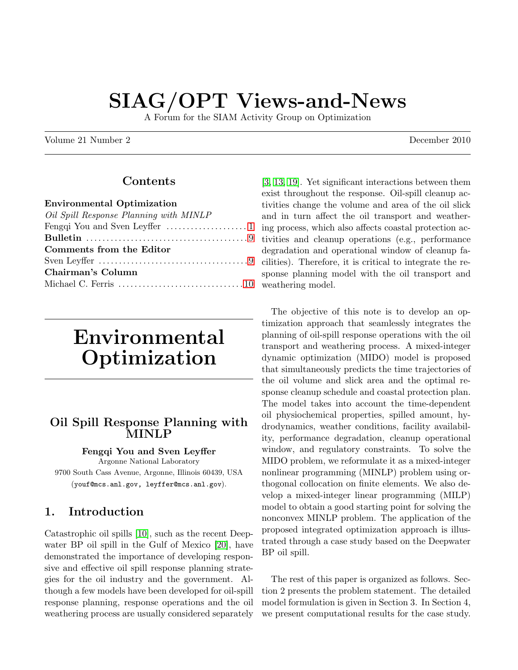# SIAG/OPT Views-and-News

A Forum for the SIAM Activity Group on Optimization

Volume 21 Number 2 December 2010

## Contents

| <b>Environmental Optimization</b>                                                     |
|---------------------------------------------------------------------------------------|
| Oil Spill Response Planning with MINLP                                                |
|                                                                                       |
|                                                                                       |
| Comments from the Editor                                                              |
| Sven Leyffer $\dots\dots\dots\dots\dots\dots\dots\dots\dots\dots\dots\dots\dots\dots$ |
| Chairman's Column                                                                     |
|                                                                                       |
|                                                                                       |

# <span id="page-0-0"></span>Environmental Optimization

### <span id="page-0-1"></span>Oil Spill Response Planning with MINLP

#### Fengqi You and Sven Leyffer

Argonne National Laboratory 9700 South Cass Avenue, Argonne, Illinois 60439, USA (youf@mcs.anl.gov, leyffer@mcs.anl.gov).

## 1. Introduction

Catastrophic oil spills [\[10\]](#page-7-0), such as the recent Deepwater BP oil spill in the Gulf of Mexico [\[20\]](#page-7-1), have demonstrated the importance of developing responsive and effective oil spill response planning strategies for the oil industry and the government. Although a few models have been developed for oil-spill response planning, response operations and the oil weathering process are usually considered separately [\[3,](#page-6-1) [13,](#page-7-2) [19\]](#page-7-3). Yet significant interactions between them exist throughout the response. Oil-spill cleanup activities change the volume and area of the oil slick and in turn affect the oil transport and weathering process, which also affects coastal protection activities and cleanup operations (e.g., performance degradation and operational window of cleanup facilities). Therefore, it is critical to integrate the response planning model with the oil transport and weathering model.

The objective of this note is to develop an optimization approach that seamlessly integrates the planning of oil-spill response operations with the oil transport and weathering process. A mixed-integer dynamic optimization (MIDO) model is proposed that simultaneously predicts the time trajectories of the oil volume and slick area and the optimal response cleanup schedule and coastal protection plan. The model takes into account the time-dependent oil physiochemical properties, spilled amount, hydrodynamics, weather conditions, facility availability, performance degradation, cleanup operational window, and regulatory constraints. To solve the MIDO problem, we reformulate it as a mixed-integer nonlinear programming (MINLP) problem using orthogonal collocation on finite elements. We also develop a mixed-integer linear programming (MILP) model to obtain a good starting point for solving the nonconvex MINLP problem. The application of the proposed integrated optimization approach is illustrated through a case study based on the Deepwater BP oil spill.

The rest of this paper is organized as follows. Section 2 presents the problem statement. The detailed model formulation is given in Section 3. In Section 4, we present computational results for the case study.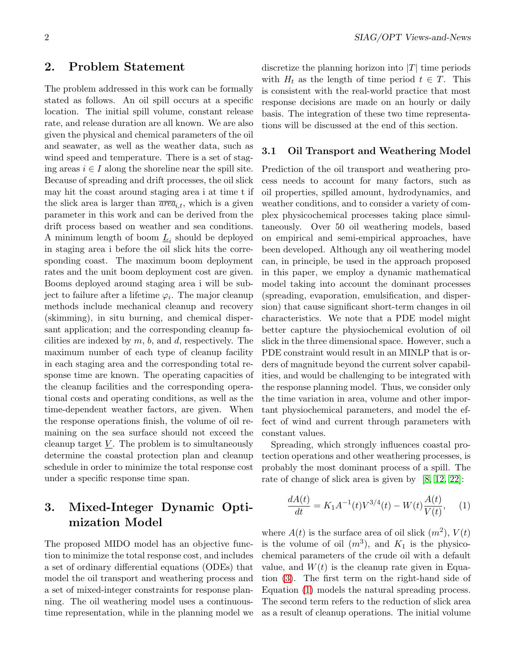#### 2. Problem Statement

The problem addressed in this work can be formally stated as follows. An oil spill occurs at a specific location. The initial spill volume, constant release rate, and release duration are all known. We are also given the physical and chemical parameters of the oil and seawater, as well as the weather data, such as wind speed and temperature. There is a set of staging areas  $i \in I$  along the shoreline near the spill site. Because of spreading and drift processes, the oil slick may hit the coast around staging area i at time t if the slick area is larger than  $\overline{area}_{i,t}$ , which is a given parameter in this work and can be derived from the drift process based on weather and sea conditions. A minimum length of boom  $\underline{L}_i$  should be deployed in staging area i before the oil slick hits the corresponding coast. The maximum boom deployment rates and the unit boom deployment cost are given. Booms deployed around staging area i will be subject to failure after a lifetime  $\varphi_i$ . The major cleanup methods include mechanical cleanup and recovery (skimming), in situ burning, and chemical dispersant application; and the corresponding cleanup facilities are indexed by  $m, b$ , and  $d$ , respectively. The maximum number of each type of cleanup facility in each staging area and the corresponding total response time are known. The operating capacities of the cleanup facilities and the corresponding operational costs and operating conditions, as well as the time-dependent weather factors, are given. When the response operations finish, the volume of oil remaining on the sea surface should not exceed the cleanup target  $V$ . The problem is to simultaneously determine the coastal protection plan and cleanup schedule in order to minimize the total response cost under a specific response time span.

## 3. Mixed-Integer Dynamic Optimization Model

The proposed MIDO model has an objective function to minimize the total response cost, and includes a set of ordinary differential equations (ODEs) that model the oil transport and weathering process and a set of mixed-integer constraints for response planning. The oil weathering model uses a continuoustime representation, while in the planning model we discretize the planning horizon into  $|T|$  time periods with  $H_t$  as the length of time period  $t \in T$ . This is consistent with the real-world practice that most response decisions are made on an hourly or daily basis. The integration of these two time representations will be discussed at the end of this section.

#### 3.1 Oil Transport and Weathering Model

Prediction of the oil transport and weathering process needs to account for many factors, such as oil properties, spilled amount, hydrodynamics, and weather conditions, and to consider a variety of complex physicochemical processes taking place simultaneously. Over 50 oil weathering models, based on empirical and semi-empirical approaches, have been developed. Although any oil weathering model can, in principle, be used in the approach proposed in this paper, we employ a dynamic mathematical model taking into account the dominant processes (spreading, evaporation, emulsification, and dispersion) that cause significant short-term changes in oil characteristics. We note that a PDE model might better capture the physiochemical evolution of oil slick in the three dimensional space. However, such a PDE constraint would result in an MINLP that is orders of magnitude beyond the current solver capabilities, and would be challenging to be integrated with the response planning model. Thus, we consider only the time variation in area, volume and other important physiochemical parameters, and model the effect of wind and current through parameters with constant values.

Spreading, which strongly influences coastal protection operations and other weathering processes, is probably the most dominant process of a spill. The rate of change of slick area is given by [\[8,](#page-6-2) [12,](#page-7-4) [22\]](#page-7-5):

<span id="page-1-0"></span>
$$
\frac{dA(t)}{dt} = K_1 A^{-1}(t) V^{3/4}(t) - W(t) \frac{A(t)}{V(t)}, \quad (1)
$$

where  $A(t)$  is the surface area of oil slick  $(m^2)$ ,  $V(t)$ is the volume of oil  $(m^3)$ , and  $K_1$  is the physicochemical parameters of the crude oil with a default value, and  $W(t)$  is the cleanup rate given in Equation [\(3\)](#page-4-0). The first term on the right-hand side of Equation [\(1\)](#page-1-0) models the natural spreading process. The second term refers to the reduction of slick area as a result of cleanup operations. The initial volume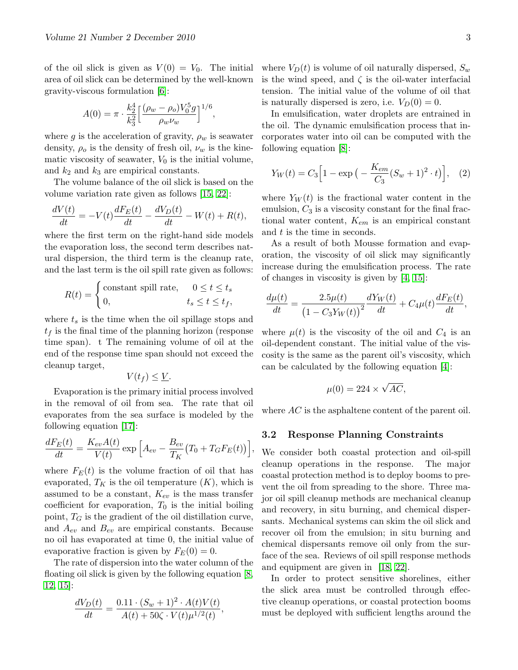of the oil slick is given as  $V(0) = V_0$ . The initial area of oil slick can be determined by the well-known gravity-viscous formulation [\[6\]](#page-6-3):

$$
A(0) = \pi \cdot \frac{k_2^4}{k_3^2} \left[ \frac{(\rho_w - \rho_o)V_0^5 g}{\rho_w \nu_w} \right]^{1/6},
$$

where g is the acceleration of gravity,  $\rho_w$  is seawater density,  $\rho_o$  is the density of fresh oil,  $\nu_w$  is the kinematic viscosity of seawater,  $V_0$  is the initial volume, and  $k_2$  and  $k_3$  are empirical constants.

The volume balance of the oil slick is based on the volume variation rate given as follows [\[15,](#page-7-6) [22\]](#page-7-5):

$$
\frac{dV(t)}{dt} = -V(t)\frac{dF_E(t)}{dt} - \frac{dV_D(t)}{dt} - W(t) + R(t),
$$

where the first term on the right-hand side models the evaporation loss, the second term describes natural dispersion, the third term is the cleanup rate, and the last term is the oil spill rate given as follows:

$$
R(t) = \begin{cases} \text{constant spill rate,} & 0 \le t \le t_s \\ 0, & t_s \le t \le t_f, \end{cases}
$$

where  $t_s$  is the time when the oil spillage stops and  $t<sub>f</sub>$  is the final time of the planning horizon (response time span). t The remaining volume of oil at the end of the response time span should not exceed the cleanup target,

$$
V(t_f) \leq \underline{V}.
$$

Evaporation is the primary initial process involved in the removal of oil from sea. The rate that oil evaporates from the sea surface is modeled by the following equation [\[17\]](#page-7-7):

$$
\frac{dF_E(t)}{dt} = \frac{K_{ev}A(t)}{V(t)} \exp\left[A_{ev} - \frac{B_{ev}}{T_K}(T_0 + T_G F_E(t))\right],
$$

where  $F_E(t)$  is the volume fraction of oil that has evaporated,  $T_K$  is the oil temperature  $(K)$ , which is assumed to be a constant,  $K_{ev}$  is the mass transfer coefficient for evaporation,  $T_0$  is the initial boiling point,  $T_G$  is the gradient of the oil distillation curve, and  $A_{ev}$  and  $B_{ev}$  are empirical constants. Because no oil has evaporated at time 0, the initial value of evaporative fraction is given by  $F_E(0) = 0$ .

The rate of dispersion into the water column of the floating oil slick is given by the following equation [\[8,](#page-6-2) [12,](#page-7-4) [15\]](#page-7-6):

$$
\frac{dV_D(t)}{dt} = \frac{0.11 \cdot (S_w + 1)^2 \cdot A(t)V(t)}{A(t) + 50\zeta \cdot V(t)\mu^{1/2}(t)},
$$

where  $V_D(t)$  is volume of oil naturally dispersed,  $S_w$ is the wind speed, and  $\zeta$  is the oil-water interfacial tension. The initial value of the volume of oil that is naturally dispersed is zero, i.e.  $V_D(0) = 0$ .

In emulsification, water droplets are entrained in the oil. The dynamic emulsification process that incorporates water into oil can be computed with the following equation [\[8\]](#page-6-2):

<span id="page-2-0"></span>
$$
Y_W(t) = C_3 \Big[ 1 - \exp\big(-\frac{K_{em}}{C_3} (S_w + 1)^2 \cdot t\big) \Big], \quad (2)
$$

where  $Y_W(t)$  is the fractional water content in the emulsion,  $C_3$  is a viscosity constant for the final fractional water content,  $K_{em}$  is an empirical constant and  $t$  is the time in seconds.

As a result of both Mousse formation and evaporation, the viscosity of oil slick may significantly increase during the emulsification process. The rate of changes in viscosity is given by [\[4,](#page-6-4) [15\]](#page-7-6):

$$
\frac{d\mu(t)}{dt} = \frac{2.5\mu(t)}{(1 - C_3 Y_W(t))^{2}} \frac{dY_W(t)}{dt} + C_4 \mu(t) \frac{dF_E(t)}{dt},
$$

where  $\mu(t)$  is the viscosity of the oil and  $C_4$  is an oil-dependent constant. The initial value of the viscosity is the same as the parent oil's viscosity, which can be calculated by the following equation [\[4\]](#page-6-4):

$$
\mu(0) = 224 \times \sqrt{AC},
$$

where  $AC$  is the asphaltene content of the parent oil.

#### 3.2 Response Planning Constraints

We consider both coastal protection and oil-spill cleanup operations in the response. The major coastal protection method is to deploy booms to prevent the oil from spreading to the shore. Three major oil spill cleanup methods are mechanical cleanup and recovery, in situ burning, and chemical dispersants. Mechanical systems can skim the oil slick and recover oil from the emulsion; in situ burning and chemical dispersants remove oil only from the surface of the sea. Reviews of oil spill response methods and equipment are given in [\[18,](#page-7-8) [22\]](#page-7-5).

In order to protect sensitive shorelines, either the slick area must be controlled through effective cleanup operations, or coastal protection booms must be deployed with sufficient lengths around the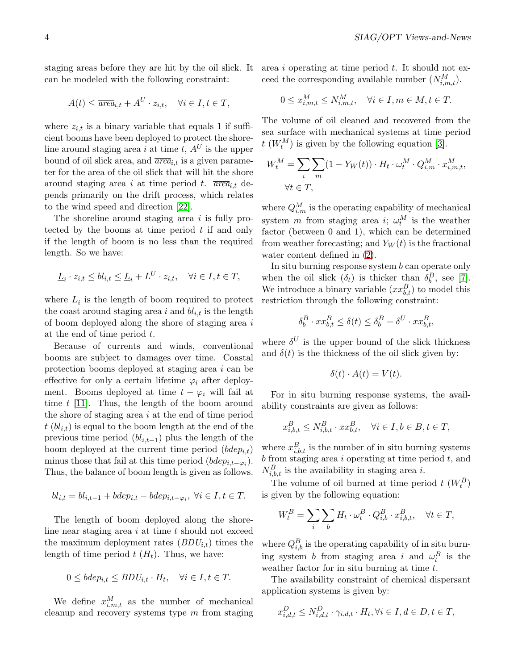staging areas before they are hit by the oil slick. It can be modeled with the following constraint:

$$
A(t) \le \overline{area}_{i,t} + A^U \cdot z_{i,t}, \quad \forall i \in I, t \in T,
$$

where  $z_{i,t}$  is a binary variable that equals 1 if sufficient booms have been deployed to protect the shoreline around staging area i at time t,  $A^U$  is the upper bound of oil slick area, and  $\overline{area}_{i,t}$  is a given parameter for the area of the oil slick that will hit the shore around staging area i at time period t.  $\overline{area}_{i,t}$  depends primarily on the drift process, which relates to the wind speed and direction [\[22\]](#page-7-5).

The shoreline around staging area  $i$  is fully protected by the booms at time period  $t$  if and only if the length of boom is no less than the required length. So we have:

$$
\underline{L}_i \cdot z_{i,t} \le bl_{i,t} \le \underline{L}_i + L^U \cdot z_{i,t}, \quad \forall i \in I, t \in T,
$$

where  $\underline{L}_i$  is the length of boom required to protect the coast around staging area i and  $bl_{i,t}$  is the length of boom deployed along the shore of staging area  $i$ at the end of time period t.

Because of currents and winds, conventional booms are subject to damages over time. Coastal protection booms deployed at staging area i can be effective for only a certain lifetime  $\varphi_i$  after deployment. Booms deployed at time  $t - \varphi_i$  will fail at time t [\[11\]](#page-7-9). Thus, the length of the boom around the shore of staging area i at the end of time period  $t (bl_{i,t})$  is equal to the boom length at the end of the previous time period  $(bl_{i,t-1})$  plus the length of the boom deployed at the current time period  $(bdep_{i,t})$ minus those that fail at this time period  $(bdep_{i,t-\varphi_i})$ . Thus, the balance of boom length is given as follows.

$$
bl_{i,t} = bl_{i,t-1} + bdep_{i,t} - bdep_{i,t-\varphi_i}, \ \forall i \in I, t \in T.
$$

The length of boom deployed along the shoreline near staging area  $i$  at time  $t$  should not exceed the maximum deployment rates  $(BDU_{i,t})$  times the length of time period  $t$  ( $H_t$ ). Thus, we have:

$$
0 \leq bdep_{i,t} \leq BDU_{i,t} \cdot H_t, \quad \forall i \in I, t \in T.
$$

We define  $x_{i,m,t}^M$  as the number of mechanical cleanup and recovery systems type  $m$  from staging area i operating at time period  $t$ . It should not exceed the corresponding available number  $(N_{i,m,t}^M)$ .

$$
0 \le x_{i,m,t}^M \le N_{i,m,t}^M, \quad \forall i \in I, m \in M, t \in T.
$$

The volume of oil cleaned and recovered from the sea surface with mechanical systems at time period  $t$  ( $W_t^M$ ) is given by the following equation [\[3\]](#page-6-1).

$$
W_t^M = \sum_i \sum_m (1 - Y_W(t)) \cdot H_t \cdot \omega_t^M \cdot Q_{i,m}^M \cdot x_{i,m,t}^M,
$$
  

$$
\forall t \in T,
$$

where  $Q_{i,m}^M$  is the operating capability of mechanical system *m* from staging area *i*;  $\omega_t^M$  is the weather factor (between 0 and 1), which can be determined from weather forecasting; and  $Y_W(t)$  is the fractional water content defined in [\(2\)](#page-2-0).

In situ burning response system  $b$  can operate only when the oil slick  $(\delta_t)$  is thicker than  $\delta_b^B$ , see [\[7\]](#page-6-5). We introduce a binary variable  $(xx_{b,t}^B)$  to model this restriction through the following constraint:

$$
\delta_b^B \cdot xx_{b,t}^B \le \delta(t) \le \delta_b^B + \delta^U \cdot xx_{b,t}^B,
$$

where  $\delta^U$  is the upper bound of the slick thickness and  $\delta(t)$  is the thickness of the oil slick given by:

$$
\delta(t) \cdot A(t) = V(t).
$$

For in situ burning response systems, the availability constraints are given as follows:

$$
x_{i,b,t}^B \le N_{i,b,t}^B \cdot xx_{b,t}^B, \quad \forall i \in I, b \in B, t \in T,
$$

where  $x_{i,b,t}^B$  is the number of in situ burning systems  $b$  from staging area  $i$  operating at time period  $t$ , and  $N_{i,b,t}^B$  is the availability in staging area *i*.

The volume of oil burned at time period  $t$   $(W_t^B)$ is given by the following equation:

$$
W_t^B = \sum_i \sum_b H_t \cdot \omega_t^B \cdot Q_{i,b}^B \cdot x_{i,b,t}^B, \quad \forall t \in T,
$$

where  $Q_{i,b}^B$  is the operating capability of in situ burning system *b* from staging area *i* and  $\omega_t^B$  is the weather factor for in situ burning at time  $t$ .

The availability constraint of chemical dispersant application systems is given by:

$$
x_{i,d,t}^D \le N_{i,d,t}^D \cdot \gamma_{i,d,t} \cdot H_t, \forall i \in I, d \in D, t \in T,
$$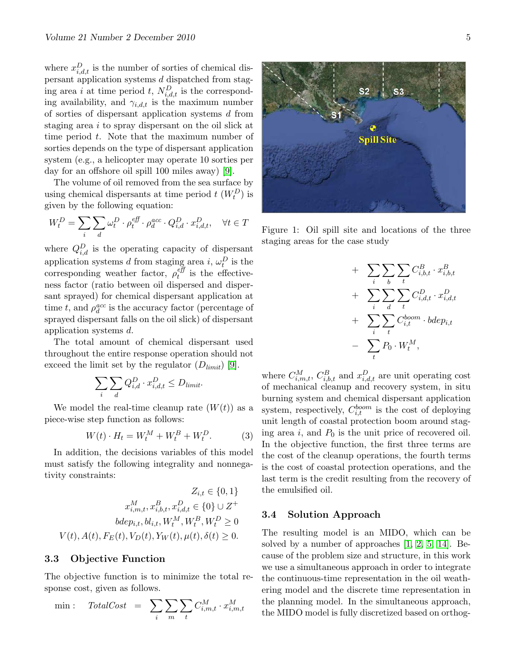where  $x_{i,d,t}^D$  is the number of sorties of chemical dispersant application systems d dispatched from staging area i at time period t,  $N_{i,d,t}^D$  is the corresponding availability, and  $\gamma_{i,d,t}$  is the maximum number of sorties of dispersant application systems d from staging area i to spray dispersant on the oil slick at time period t. Note that the maximum number of sorties depends on the type of dispersant application system (e.g., a helicopter may operate 10 sorties per day for an offshore oil spill 100 miles away) [\[9\]](#page-7-10).

The volume of oil removed from the sea surface by using chemical dispersants at time period  $t$   $(W_t^D)$  is given by the following equation:

$$
W_t^D = \sum_i \sum_d \omega_t^D \cdot \rho_t^{\text{eff}} \cdot \rho_d^{\text{acc}} \cdot Q_{i,d}^D \cdot x_{i,d,t}^D, \quad \forall t \in T
$$

where  $Q_{i,d}^D$  is the operating capacity of dispersant application systems d from staging area i,  $\omega_t^D$  is the corresponding weather factor,  $\rho_t^{eff}$  $t_i^{e\mu}$  is the effectiveness factor (ratio between oil dispersed and dispersant sprayed) for chemical dispersant application at time t, and  $\rho_d^{acc}$  is the accuracy factor (percentage of sprayed dispersant falls on the oil slick) of dispersant application systems d.

The total amount of chemical dispersant used throughout the entire response operation should not exceed the limit set by the regulator  $(D_{limit})$  [\[9\]](#page-7-10).

$$
\sum_{i} \sum_{d} Q_{i,d}^D \cdot x_{i,d,t}^D \le D_{limit}.
$$

We model the real-time cleanup rate  $(W(t))$  as a piece-wise step function as follows:

<span id="page-4-0"></span>
$$
W(t) \cdot H_t = W_t^M + W_t^B + W_t^D. \tag{3}
$$

In addition, the decisions variables of this model must satisfy the following integrality and nonnegativity constraints:

$$
Z_{i,t} \in \{0, 1\}
$$
  

$$
x_{i,m,t}^M, x_{i,b,t}^B, x_{i,d,t}^D \in \{0\} \cup Z^+
$$
  

$$
bdep_{i,t}, bl_{i,t}, W_t^M, W_t^B, W_t^D \ge 0
$$
  

$$
V(t), A(t), F_E(t), V_D(t), Y_W(t), \mu(t), \delta(t) \ge 0.
$$

#### 3.3 Objective Function

The objective function is to minimize the total response cost, given as follows.

$$
\min: \quad TotalCost \quad = \quad \sum_{i} \sum_{m} \sum_{t} C_{i,m,t}^{M} \cdot x_{i,m,t}^{M}
$$

Figure 1: Oil spill site and locations of the three staging areas for the case study

$$
+ \sum_{i} \sum_{b} \sum_{t} C_{i,b,t}^{B} \cdot x_{i,b,t}^{B}
$$

$$
+ \sum_{i} \sum_{d} \sum_{t} C_{i,d,t}^{D} \cdot x_{i,d,t}^{D}
$$

$$
+ \sum_{i} \sum_{t} C_{i,t}^{boom} \cdot bdep_{i,t}
$$

$$
- \sum_{t} P_{0} \cdot W_{t}^{M},
$$

where  $C_{i,m,t}^M$ ,  $C_{i,b,t}^B$  and  $x_{i,d,t}^D$  are unit operating cost of mechanical cleanup and recovery system, in situ burning system and chemical dispersant application system, respectively,  $C_{i,t}^{boom}$  is the cost of deploying unit length of coastal protection boom around staging area i, and  $P_0$  is the unit price of recovered oil. In the objective function, the first three terms are the cost of the cleanup operations, the fourth terms is the cost of coastal protection operations, and the last term is the credit resulting from the recovery of the emulsified oil.

#### 3.4 Solution Approach

The resulting model is an MIDO, which can be solved by a number of approaches [\[1,](#page-6-6) [2,](#page-6-7) [5,](#page-6-8) [14\]](#page-7-11). Because of the problem size and structure, in this work we use a simultaneous approach in order to integrate the continuous-time representation in the oil weathering model and the discrete time representation in the planning model. In the simultaneous approach, the MIDO model is fully discretized based on orthog-

**Spill Site** 

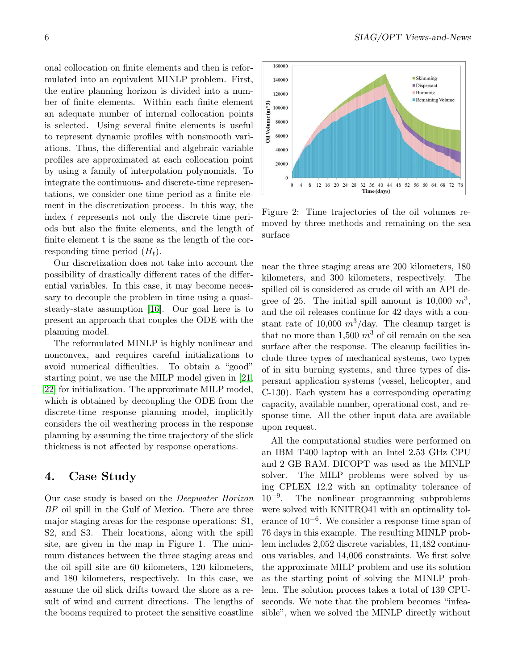onal collocation on finite elements and then is reformulated into an equivalent MINLP problem. First, the entire planning horizon is divided into a number of finite elements. Within each finite element an adequate number of internal collocation points is selected. Using several finite elements is useful to represent dynamic profiles with nonsmooth variations. Thus, the differential and algebraic variable profiles are approximated at each collocation point by using a family of interpolation polynomials. To integrate the continuous- and discrete-time representations, we consider one time period as a finite element in the discretization process. In this way, the index t represents not only the discrete time periods but also the finite elements, and the length of finite element t is the same as the length of the corresponding time period  $(H_t)$ .

Our discretization does not take into account the possibility of drastically different rates of the differential variables. In this case, it may become necessary to decouple the problem in time using a quasisteady-state assumption [\[16\]](#page-7-12). Our goal here is to present an approach that couples the ODE with the planning model.

The reformulated MINLP is highly nonlinear and nonconvex, and requires careful initializations to avoid numerical difficulties. To obtain a "good" starting point, we use the MILP model given in [\[21,](#page-7-13) [22\]](#page-7-5) for initialization. The approximate MILP model, which is obtained by decoupling the ODE from the discrete-time response planning model, implicitly considers the oil weathering process in the response planning by assuming the time trajectory of the slick thickness is not affected by response operations.

#### 4. Case Study

Our case study is based on the Deepwater Horizon BP oil spill in the Gulf of Mexico. There are three major staging areas for the response operations: S1, S2, and S3. Their locations, along with the spill site, are given in the map in Figure 1. The minimum distances between the three staging areas and the oil spill site are 60 kilometers, 120 kilometers, and 180 kilometers, respectively. In this case, we assume the oil slick drifts toward the shore as a result of wind and current directions. The lengths of the booms required to protect the sensitive coastline



Figure 2: Time trajectories of the oil volumes removed by three methods and remaining on the sea surface

near the three staging areas are 200 kilometers, 180 kilometers, and 300 kilometers, respectively. The spilled oil is considered as crude oil with an API degree of 25. The initial spill amount is  $10,000 \, m^3$ , and the oil releases continue for 42 days with a constant rate of 10,000  $m^3$ /day. The cleanup target is that no more than 1,500  $m^3$  of oil remain on the sea surface after the response. The cleanup facilities include three types of mechanical systems, two types of in situ burning systems, and three types of dispersant application systems (vessel, helicopter, and C-130). Each system has a corresponding operating capacity, available number, operational cost, and response time. All the other input data are available upon request.

All the computational studies were performed on an IBM T400 laptop with an Intel 2.53 GHz CPU and 2 GB RAM. DICOPT was used as the MINLP solver. The MILP problems were solved by using CPLEX 12.2 with an optimality tolerance of  $10^{-9}$ . . The nonlinear programming subproblems were solved with KNITRO41 with an optimality tolerance of 10−<sup>6</sup> . We consider a response time span of 76 days in this example. The resulting MINLP problem includes 2,052 discrete variables, 11,482 continuous variables, and 14,006 constraints. We first solve the approximate MILP problem and use its solution as the starting point of solving the MINLP problem. The solution process takes a total of 139 CPUseconds. We note that the problem becomes "infeasible", when we solved the MINLP directly without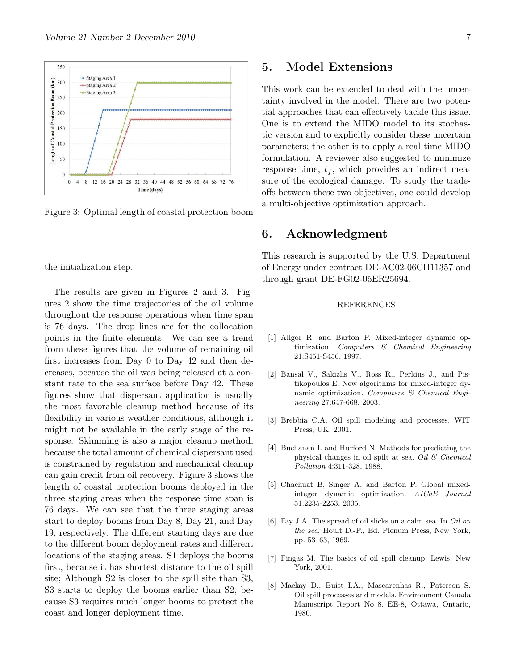

Figure 3: Optimal length of coastal protection boom

the initialization step.

The results are given in Figures 2 and 3. Figures 2 show the time trajectories of the oil volume throughout the response operations when time span is 76 days. The drop lines are for the collocation points in the finite elements. We can see a trend from these figures that the volume of remaining oil first increases from Day 0 to Day 42 and then decreases, because the oil was being released at a constant rate to the sea surface before Day 42. These figures show that dispersant application is usually the most favorable cleanup method because of its flexibility in various weather conditions, although it might not be available in the early stage of the response. Skimming is also a major cleanup method, because the total amount of chemical dispersant used is constrained by regulation and mechanical cleanup can gain credit from oil recovery. Figure 3 shows the length of coastal protection booms deployed in the three staging areas when the response time span is 76 days. We can see that the three staging areas start to deploy booms from Day 8, Day 21, and Day 19, respectively. The different starting days are due to the different boom deployment rates and different locations of the staging areas. S1 deploys the booms first, because it has shortest distance to the oil spill site; Although S2 is closer to the spill site than S3, S3 starts to deploy the booms earlier than S2, because S3 requires much longer booms to protect the coast and longer deployment time.

#### 5. Model Extensions

This work can be extended to deal with the uncertainty involved in the model. There are two potential approaches that can effectively tackle this issue. One is to extend the MIDO model to its stochastic version and to explicitly consider these uncertain parameters; the other is to apply a real time MIDO formulation. A reviewer also suggested to minimize response time,  $t_f$ , which provides an indirect measure of the ecological damage. To study the tradeoffs between these two objectives, one could develop a multi-objective optimization approach.

#### <span id="page-6-0"></span>6. Acknowledgment

This research is supported by the U.S. Department of Energy under contract DE-AC02-06CH11357 and through grant DE-FG02-05ER25694.

#### REFERENCES

- <span id="page-6-6"></span>[1] Allgor R. and Barton P. Mixed-integer dynamic optimization. *Computers & Chemical Engineering* 21:S451-S456, 1997.
- <span id="page-6-7"></span>[2] Bansal V., Sakizlis V., Ross R., Perkins J., and Pistikopoulos E. New algorithms for mixed-integer dynamic optimization. *Computers & Chemical Engineering* 27:647-668, 2003.
- <span id="page-6-1"></span>[3] Brebbia C.A. Oil spill modeling and processes. WIT Press, UK, 2001.
- <span id="page-6-4"></span>[4] Buchanan I. and Hurford N. Methods for predicting the physical changes in oil spilt at sea. *Oil & Chemical Pollution* 4:311-328, 1988.
- <span id="page-6-8"></span>[5] Chachuat B, Singer A, and Barton P. Global mixedinteger dynamic optimization. *AIChE Journal* 51:2235-2253, 2005.
- <span id="page-6-3"></span>[6] Fay J.A. The spread of oil slicks on a calm sea. In *Oil on the sea*, Hoult D.-P., Ed. Plenum Press, New York, pp. 53–63, 1969.
- <span id="page-6-5"></span>[7] Fingas M. The basics of oil spill cleanup. Lewis, New York, 2001.
- <span id="page-6-2"></span>[8] Mackay D., Buist I.A., Mascarenhas R., Paterson S. Oil spill processes and models. Environment Canada Manuscript Report No 8. EE-8, Ottawa, Ontario, 1980.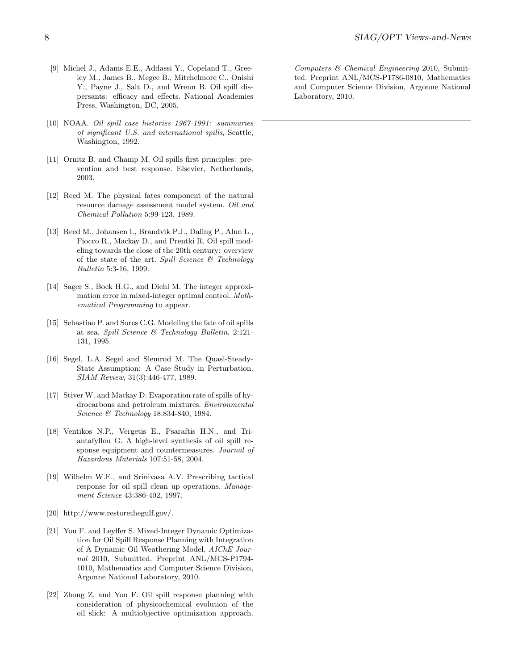- <span id="page-7-10"></span>[9] Michel J., Adams E.E., Addassi Y., Copeland T., Greeley M., James B., Mcgee B., Mitchelmore C., Onishi Y., Payne J., Salt D., and Wrenn B. Oil spill dispersants: efficacy and effects. National Academies Press, Washington, DC, 2005.
- <span id="page-7-0"></span>[10] NOAA. *Oil spill case histories 1967-1991: summaries of significant U.S. and international spills*, Seattle, Washington, 1992.
- <span id="page-7-9"></span>[11] Ornitz B. and Champ M. Oil spills first principles: prevention and best response. Elsevier, Netherlands, 2003.
- <span id="page-7-4"></span>[12] Reed M. The physical fates component of the natural resource damage assessment model system. *Oil and Chemical Pollution* 5:99-123, 1989.
- <span id="page-7-2"></span>[13] Reed M., Johansen I., Brandvik P.J., Daling P., Alun L., Fiocco R., Mackay D., and Prentki R. Oil spill modeling towards the close of the 20th century: overview of the state of the art. *Spill Science & Technology Bulletin* 5:3-16, 1999.
- <span id="page-7-11"></span>[14] Sager S., Bock H.G., and Diehl M. The integer approximation error in mixed-integer optimal control. *Mathematical Programming* to appear.
- <span id="page-7-6"></span>[15] Sebastiao P. and Sores C.G. Modeling the fate of oil spills at sea. *Spill Science & Technology Bulletin*. 2:121- 131, 1995.
- <span id="page-7-12"></span>[16] Segel, L.A. Segel and Slemrod M. The Quasi-Steady-State Assumption: A Case Study in Perturbation. *SIAM Review*, 31(3):446-477, 1989.
- <span id="page-7-7"></span>[17] Stiver W. and Mackay D. Evaporation rate of spills of hydrocarbons and petroleum mixtures. *Environmental Science & Technology* 18:834-840, 1984.
- <span id="page-7-8"></span>[18] Ventikos N.P., Vergetis E., Psaraftis H.N., and Triantafyllou G. A high-level synthesis of oil spill response equipment and countermeasures. *Journal of Hazardous Materials* 107:51-58, 2004.
- <span id="page-7-3"></span>[19] Wilhelm W.E., and Srinivasa A.V. Prescribing tactical response for oil spill clean up operations. *Management Science* 43:386-402, 1997.
- <span id="page-7-13"></span><span id="page-7-1"></span>[20] http://www.restorethegulf.gov/.
- [21] You F. and Leyffer S. Mixed-Integer Dynamic Optimization for Oil Spill Response Planning with Integration of A Dynamic Oil Weathering Model. *AIChE Journal* 2010, Submitted. Preprint ANL/MCS-P1794- 1010, Mathematics and Computer Science Division, Argonne National Laboratory, 2010.
- <span id="page-7-5"></span>[22] Zhong Z. and You F. Oil spill response planning with consideration of physicochemical evolution of the oil slick: A multiobjective optimization approach.

*Computers & Chemical Engineering* 2010, Submitted. Preprint ANL/MCS-P1786-0810, Mathematics and Computer Science Division, Argonne National Laboratory, 2010.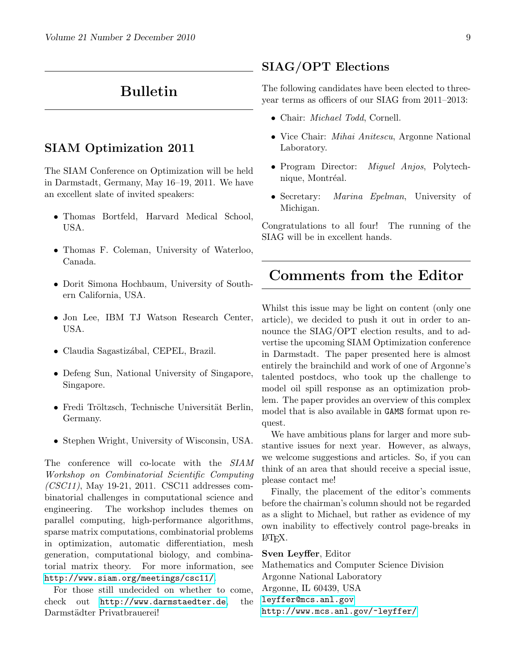# <span id="page-8-0"></span>Bulletin

### SIAM Optimization 2011

The SIAM Conference on Optimization will be held in Darmstadt, Germany, May 16–19, 2011. We have an excellent slate of invited speakers:

- Thomas Bortfeld, Harvard Medical School, USA.
- Thomas F. Coleman, University of Waterloo, Canada.
- Dorit Simona Hochbaum, University of Southern California, USA.
- Jon Lee, IBM TJ Watson Research Center, USA.
- Claudia Sagastizábal, CEPEL, Brazil.
- Defeng Sun, National University of Singapore, Singapore.
- Fredi Tröltzsch, Technische Universität Berlin, Germany.
- Stephen Wright, University of Wisconsin, USA.

The conference will co-locate with the SIAM Workshop on Combinatorial Scientific Computing (CSC11), May 19-21, 2011. CSC11 addresses combinatorial challenges in computational science and engineering. The workshop includes themes on parallel computing, high-performance algorithms, sparse matrix computations, combinatorial problems in optimization, automatic differentiation, mesh generation, computational biology, and combinatorial matrix theory. For more information, see <http://www.siam.org/meetings/csc11/>.

For those still undecided on whether to come, check out <http://www.darmstaedter.de>, the Darmstädter Privatbrauerei!

#### <span id="page-8-1"></span>SIAG/OPT Elections

The following candidates have been elected to threeyear terms as officers of our SIAG from 2011–2013:

- Chair: Michael Todd, Cornell.
- Vice Chair: *Mihai Anitescu*, Argonne National Laboratory.
- Program Director: Miguel Anjos, Polytechnique, Montréal.
- Secretary: *Marina Epelman*, University of Michigan.

Congratulations to all four! The running of the SIAG will be in excellent hands.

# <span id="page-8-2"></span>Comments from the Editor

Whilst this issue may be light on content (only one article), we decided to push it out in order to announce the SIAG/OPT election results, and to advertise the upcoming SIAM Optimization conference in Darmstadt. The paper presented here is almost entirely the brainchild and work of one of Argonne's talented postdocs, who took up the challenge to model oil spill response as an optimization problem. The paper provides an overview of this complex model that is also available in GAMS format upon request.

We have ambitious plans for larger and more substantive issues for next year. However, as always, we welcome suggestions and articles. So, if you can think of an area that should receive a special issue, please contact me!

Finally, the placement of the editor's comments before the chairman's column should not be regarded as a slight to Michael, but rather as evidence of my own inability to effectively control page-breaks in L<sup>A</sup>TEX.

Sven Leyffer, Editor Mathematics and Computer Science Division Argonne National Laboratory Argonne, IL 60439, USA <leyffer@mcs.anl.gov> <http://www.mcs.anl.gov/~leyffer/>